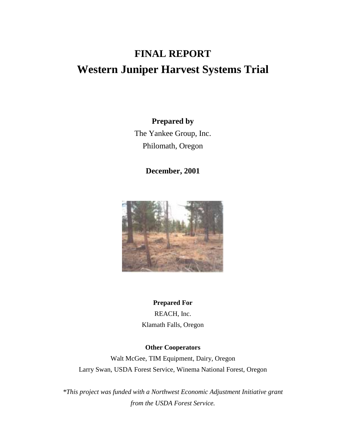# **FINAL REPORT Western Juniper Harvest Systems Trial**

### **Prepared by**

The Yankee Group, Inc. Philomath, Oregon

**December, 2001** 



# **Prepared For**

REACH, Inc. Klamath Falls, Oregon

### **Other Cooperators**

Walt McGee, TIM Equipment, Dairy, Oregon Larry Swan, USDA Forest Service, Winema National Forest, Oregon

*\*This project was funded with a Northwest Economic Adjustment Initiative grant from the USDA Forest Service.*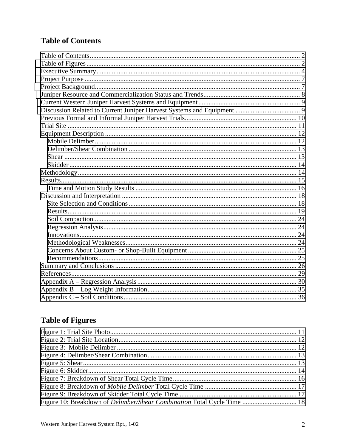# **Table of Contents**

# **Table of Figures**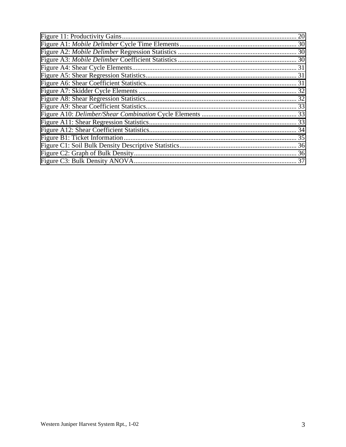| 20 |
|----|
|    |
|    |
|    |
|    |
|    |
|    |
|    |
|    |
|    |
|    |
|    |
|    |
|    |
|    |
|    |
|    |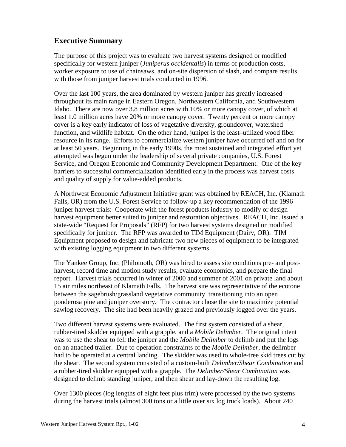# <span id="page-3-0"></span>**Executive Summary**

The purpose of this project was to evaluate two harvest systems designed or modified specifically for western juniper (*Juniperus occidentalis*) in terms of production costs, worker exposure to use of chainsaws, and on-site dispersion of slash, and compare results with those from juniper harvest trials conducted in 1996.

Over the last 100 years, the area dominated by western juniper has greatly increased throughout its main range in Eastern Oregon, Northeastern California, and Southwestern Idaho. There are now over 3.8 million acres with 10% or more canopy cover, of which at least 1.0 million acres have 20% or more canopy cover. Twenty percent or more canopy cover is a key early indicator of loss of vegetative diversity, groundcover, watershed function, and wildlife habitat. On the other hand, juniper is the least–utilized wood fiber resource in its range. Efforts to commercialize western juniper have occurred off and on for at least 50 years. Beginning in the early 1990s, the most sustained and integrated effort yet attempted was begun under the leadership of several private companies, U.S. Forest Service, and Oregon Economic and Community Development Department. One of the key barriers to successful commercialization identified early in the process was harvest costs and quality of supply for value-added products.

A Northwest Economic Adjustment Initiative grant was obtained by REACH, Inc. (Klamath Falls, OR) from the U.S. Forest Service to follow-up a key recommendation of the 1996 juniper harvest trials: Cooperate with the forest products industry to modify or design harvest equipment better suited to juniper and restoration objectives. REACH, Inc. issued a state-wide "Request for Proposals" (RFP) for two harvest systems designed or modified specifically for juniper. The RFP was awarded to TIM Equipment (Dairy, OR). TIM Equipment proposed to design and fabricate two new pieces of equipment to be integrated with existing logging equipment in two different systems.

The Yankee Group, Inc. (Philomoth, OR) was hired to assess site conditions pre- and postharvest, record time and motion study results, evaluate economics, and prepare the final report. Harvest trials occurred in winter of 2000 and summer of 2001 on private land about 15 air miles northeast of Klamath Falls. The harvest site was representative of the ecotone between the sagebrush/grassland vegetative community transitioning into an open ponderosa pine and juniper overstory. The contractor chose the site to maximize potential sawlog recovery. The site had been heavily grazed and previously logged over the years.

Two different harvest systems were evaluated. The first system consisted of a shear, rubber-tired skidder equipped with a grapple, and a *Mobile Delimber*. The original intent was to use the shear to fell the juniper and the *Mobile Delimber* to delimb and put the logs on an attached trailer. Due to operation constraints of the *Mobile Delimber*, the delimber had to be operated at a central landing. The skidder was used to whole-tree skid trees cut by the shear. The second system consisted of a custom-built *Delimber/Shear Combination* and a rubber-tired skidder equipped with a grapple. The *Delimber/Shear Combination* was designed to delimb standing juniper, and then shear and lay-down the resulting log.

Over 1300 pieces (log lengths of eight feet plus trim) were processed by the two systems during the harvest trials (almost 300 tons or a little over six log truck loads). About 240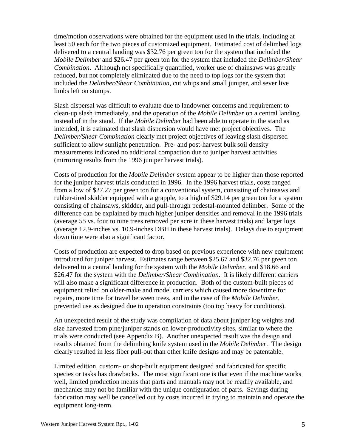time/motion observations were obtained for the equipment used in the trials, including at least 50 each for the two pieces of customized equipment. Estimated cost of delimbed logs delivered to a central landing was \$32.76 per green ton for the system that included the *Mobile Delimber* and \$26.47 per green ton for the system that included the *Delimber/Shear Combination*. Although not specifically quantified, worker use of chainsaws was greatly reduced, but not completely eliminated due to the need to top logs for the system that included the *Delimber/Shear Combination*, cut whips and small juniper, and sever live limbs left on stumps.

Slash dispersal was difficult to evaluate due to landowner concerns and requirement to clean-up slash immediately, and the operation of the *Mobile Delimber* on a central landing instead of in the stand. If the *Mobile Delimber* had been able to operate in the stand as intended, it is estimated that slash dispersion would have met project objectives. The *Delimber/Shear Combination* clearly met project objectives of leaving slash dispersed sufficient to allow sunlight penetration. Pre- and post-harvest bulk soil density measurements indicated no additional compaction due to juniper harvest activities (mirroring results from the 1996 juniper harvest trials).

Costs of production for the *Mobile Delimber* system appear to be higher than those reported for the juniper harvest trials conducted in 1996. In the 1996 harvest trials, costs ranged from a low of \$27.27 per green ton for a conventional system, consisting of chainsaws and rubber-tired skidder equipped with a grapple, to a high of \$29.14 per green ton for a system consisting of chainsaws, skidder, and pull-through pedestal-mounted delimber. Some of the difference can be explained by much higher juniper densities and removal in the 1996 trials (average 55 vs. four to nine trees removed per acre in these harvest trials) and larger logs (average 12.9-inches vs. 10.9-inches DBH in these harvest trials). Delays due to equipment down time were also a significant factor.

Costs of production are expected to drop based on previous experience with new equipment introduced for juniper harvest. Estimates range between \$25.67 and \$32.76 per green ton delivered to a central landing for the system with the *Mobile Delimber*, and \$18.66 and \$26.47 for the system with the *Delimber/Shear Combination*. It is likely different carriers will also make a significant difference in production. Both of the custom-built pieces of equipment relied on older-make and model carriers which caused more downtime for repairs, more time for travel between trees, and in the case of the *Mobile Delimber*, prevented use as designed due to operation constraints (too top heavy for conditions).

An unexpected result of the study was compilation of data about juniper log weights and size harvested from pine/juniper stands on lower-productivity sites, similar to where the trials were conducted (see Appendix B). Another unexpected result was the design and results obtained from the delimbing knife system used in the *Mobile Delimber*. The design clearly resulted in less fiber pull-out than other knife designs and may be patentable.

Limited edition, custom- or shop-built equipment designed and fabricated for specific species or tasks has drawbacks. The most significant one is that even if the machine works well, limited production means that parts and manuals may not be readily available, and mechanics may not be familiar with the unique configuration of parts. Savings during fabrication may well be cancelled out by costs incurred in trying to maintain and operate the equipment long-term.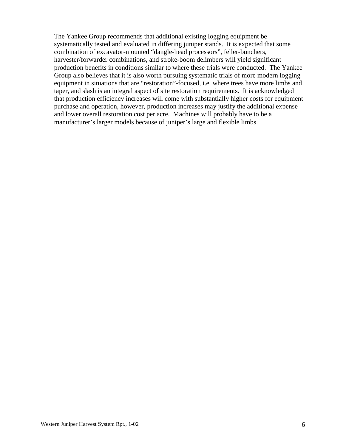The Yankee Group recommends that additional existing logging equipment be systematically tested and evaluated in differing juniper stands. It is expected that some combination of excavator-mounted "dangle-head processors", feller-bunchers, harvester/forwarder combinations, and stroke-boom delimbers will yield significant production benefits in conditions similar to where these trials were conducted. The Yankee Group also believes that it is also worth pursuing systematic trials of more modern logging equipment in situations that are "restoration"-focused, i.e. where trees have more limbs and taper, and slash is an integral aspect of site restoration requirements. It is acknowledged that production efficiency increases will come with substantially higher costs for equipment purchase and operation, however, production increases may justify the additional expense and lower overall restoration cost per acre. Machines will probably have to be a manufacturer's larger models because of juniper's large and flexible limbs.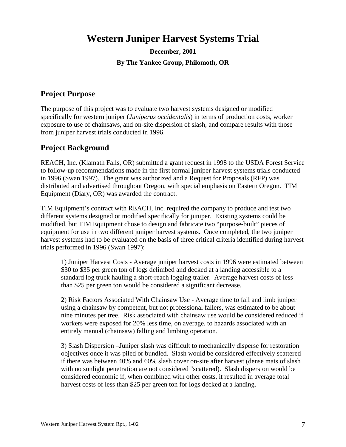# <span id="page-6-0"></span>**Western Juniper Harvest Systems Trial**

**December, 2001 By The Yankee Group, Philomoth, OR** 

# **Project Purpose**

The purpose of this project was to evaluate two harvest systems designed or modified specifically for western juniper (*Juniperus occidentalis*) in terms of production costs, worker exposure to use of chainsaws, and on-site dispersion of slash, and compare results with those from juniper harvest trials conducted in 1996.

### **Project Background**

REACH, Inc. (Klamath Falls, OR) submitted a grant request in 1998 to the USDA Forest Service to follow-up recommendations made in the first formal juniper harvest systems trials conducted in 1996 (Swan 1997). The grant was authorized and a Request for Proposals (RFP) was distributed and advertised throughout Oregon, with special emphasis on Eastern Oregon. TIM Equipment (Diary, OR) was awarded the contract.

TIM Equipment's contract with REACH, Inc. required the company to produce and test two different systems designed or modified specifically for juniper. Existing systems could be modified, but TIM Equipment chose to design and fabricate two "purpose-built" pieces of equipment for use in two different juniper harvest systems. Once completed, the two juniper harvest systems had to be evaluated on the basis of three critical criteria identified during harvest trials performed in 1996 (Swan 1997):

1) Juniper Harvest Costs - Average juniper harvest costs in 1996 were estimated between \$30 to \$35 per green ton of logs delimbed and decked at a landing accessible to a standard log truck hauling a short-reach logging trailer. Average harvest costs of less than \$25 per green ton would be considered a significant decrease.

2) Risk Factors Associated With Chainsaw Use - Average time to fall and limb juniper using a chainsaw by competent, but not professional fallers, was estimated to be about nine minutes per tree. Risk associated with chainsaw use would be considered reduced if workers were exposed for 20% less time, on average, to hazards associated with an entirely manual (chainsaw) falling and limbing operation.

3) Slash Dispersion –Juniper slash was difficult to mechanically disperse for restoration objectives once it was piled or bundled. Slash would be considered effectively scattered if there was between 40% and 60% slash cover on-site after harvest (dense mats of slash with no sunlight penetration are not considered "scattered). Slash dispersion would be considered economic if, when combined with other costs, it resulted in average total harvest costs of less than \$25 per green ton for logs decked at a landing.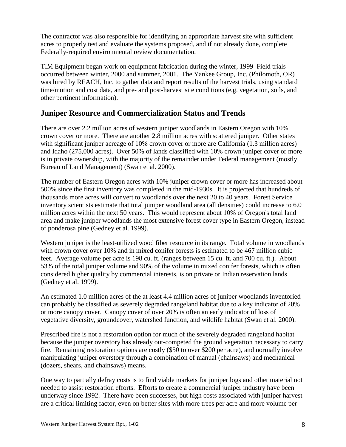<span id="page-7-0"></span>The contractor was also responsible for identifying an appropriate harvest site with sufficient acres to properly test and evaluate the systems proposed, and if not already done, complete Federally-required environmental review documentation.

TIM Equipment began work on equipment fabrication during the winter, 1999 Field trials occurred between winter, 2000 and summer, 2001. The Yankee Group, Inc. (Philomoth, OR) was hired by REACH, Inc. to gather data and report results of the harvest trials, using standard time/motion and cost data, and pre- and post-harvest site conditions (e.g. vegetation, soils, and other pertinent information).

# **Juniper Resource and Commercialization Status and Trends**

There are over 2.2 million acres of western juniper woodlands in Eastern Oregon with 10% crown cover or more. There are another 2.8 million acres with scattered juniper. Other states with significant juniper acreage of 10% crown cover or more are California (1.3 million acres) and Idaho (275,000 acres). Over 50% of lands classified with 10% crown juniper cover or more is in private ownership, with the majority of the remainder under Federal management (mostly Bureau of Land Management) (Swan et al. 2000).

The number of Eastern Oregon acres with 10% juniper crown cover or more has increased about 500% since the first inventory was completed in the mid-1930s. It is projected that hundreds of thousands more acres will convert to woodlands over the next 20 to 40 years. Forest Service inventory scientists estimate that total juniper woodland area (all densities) could increase to 6.0 million acres within the next 50 years. This would represent about 10% of Oregon's total land area and make juniper woodlands the most extensive forest cover type in Eastern Oregon, instead of ponderosa pine (Gedney et al. 1999).

Western juniper is the least-utilized wood fiber resource in its range. Total volume in woodlands with crown cover over 10% and in mixed conifer forests is estimated to be 467 million cubic feet. Average volume per acre is 198 cu. ft. (ranges between 15 cu. ft. and 700 cu. ft.). About 53% of the total juniper volume and 90% of the volume in mixed conifer forests, which is often considered higher quality by commercial interests, is on private or Indian reservation lands (Gedney et al. 1999).

An estimated 1.0 million acres of the at least 4.4 million acres of juniper woodlands inventoried can probably be classified as severely degraded rangeland habitat due to a key indicator of 20% or more canopy cover. Canopy cover of over 20% is often an early indicator of loss of vegetative diversity, groundcover, watershed function, and wildlife habitat (Swan et al. 2000).

Prescribed fire is not a restoration option for much of the severely degraded rangeland habitat because the juniper overstory has already out-competed the ground vegetation necessary to carry fire. Remaining restoration options are costly (\$50 to over \$200 per acre), and normally involve manipulating juniper overstory through a combination of manual (chainsaws) and mechanical (dozers, shears, and chainsaws) means.

One way to partially defray costs is to find viable markets for juniper logs and other material not needed to assist restoration efforts. Efforts to create a commercial juniper industry have been underway since 1992. There have been successes, but high costs associated with juniper harvest are a critical limiting factor, even on better sites with more trees per acre and more volume per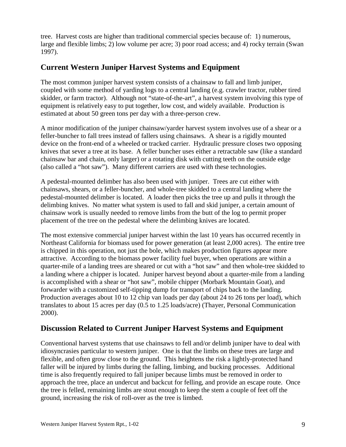<span id="page-8-0"></span>tree. Harvest costs are higher than traditional commercial species because of: 1) numerous, large and flexible limbs; 2) low volume per acre; 3) poor road access; and 4) rocky terrain (Swan 1997).

# **Current Western Juniper Harvest Systems and Equipment**

The most common juniper harvest system consists of a chainsaw to fall and limb juniper, coupled with some method of yarding logs to a central landing (e.g. crawler tractor, rubber tired skidder, or farm tractor). Although not "state-of-the-art", a harvest system involving this type of equipment is relatively easy to put together, low cost, and widely available. Production is estimated at about 50 green tons per day with a three-person crew.

A minor modification of the juniper chainsaw/yarder harvest system involves use of a shear or a feller-buncher to fall trees instead of fallers using chainsaws. A shear is a rigidly mounted device on the front-end of a wheeled or tracked carrier. Hydraulic pressure closes two opposing knives that sever a tree at its base. A feller buncher uses either a retractable saw (like a standard chainsaw bar and chain, only larger) or a rotating disk with cutting teeth on the outside edge (also called a "hot saw"). Many different carriers are used with these technologies.

A pedestal-mounted delimber has also been used with juniper. Trees are cut either with chainsaws, shears, or a feller-buncher, and whole-tree skidded to a central landing where the pedestal-mounted delimber is located. A loader then picks the tree up and pulls it through the delimbing knives. No matter what system is used to fall and skid juniper, a certain amount of chainsaw work is usually needed to remove limbs from the butt of the log to permit proper placement of the tree on the pedestal where the delimbing knives are located.

The most extensive commercial juniper harvest within the last 10 years has occurred recently in Northeast California for biomass used for power generation (at least 2,000 acres). The entire tree is chipped in this operation, not just the bole, which makes production figures appear more attractive. According to the biomass power facility fuel buyer, when operations are within a quarter-mile of a landing trees are sheared or cut with a "hot saw" and then whole-tree skidded to a landing where a chipper is located. Juniper harvest beyond about a quarter-mile from a landing is accomplished with a shear or "hot saw", mobile chipper (Morbark Mountain Goat), and forwarder with a customized self-tipping dump for transport of chips back to the landing. Production averages about 10 to 12 chip van loads per day (about 24 to 26 tons per load), which translates to about 15 acres per day (0.5 to 1.25 loads/acre) (Thayer, Personal Communication 2000).

# **Discussion Related to Current Juniper Harvest Systems and Equipment**

Conventional harvest systems that use chainsaws to fell and/or delimb juniper have to deal with idiosyncrasies particular to western juniper. One is that the limbs on these trees are large and flexible, and often grow close to the ground. This heightens the risk a lightly-protected hand faller will be injured by limbs during the falling, limbing, and bucking processes. Additional time is also frequently required to fall juniper because limbs must be removed in order to approach the tree, place an undercut and backcut for felling, and provide an escape route. Once the tree is felled, remaining limbs are stout enough to keep the stem a couple of feet off the ground, increasing the risk of roll-over as the tree is limbed.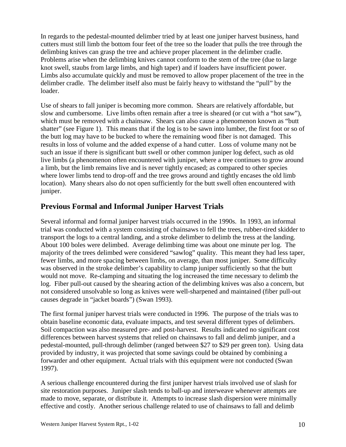<span id="page-9-0"></span>In regards to the pedestal-mounted delimber tried by at least one juniper harvest business, hand cutters must still limb the bottom four feet of the tree so the loader that pulls the tree through the delimbing knives can grasp the tree and achieve proper placement in the delimber cradle. Problems arise when the delimbing knives cannot conform to the stem of the tree (due to large knot swell, staubs from large limbs, and high taper) and if loaders have insufficient power. Limbs also accumulate quickly and must be removed to allow proper placement of the tree in the delimber cradle. The delimber itself also must be fairly heavy to withstand the "pull" by the loader.

Use of shears to fall juniper is becoming more common. Shears are relatively affordable, but slow and cumbersome. Live limbs often remain after a tree is sheared (or cut with a "hot saw"), which must be removed with a chainsaw. Shears can also cause a phenomenon known as "butt shatter" (see Figure 1). This means that if the log is to be sawn into lumber, the first foot or so of the butt log may have to be bucked to where the remaining wood fiber is not damaged. This results in loss of volume and the added expense of a hand cutter. Loss of volume many not be such an issue if there is significant butt swell or other common juniper log defect, such as old live limbs (a phenomenon often encountered with juniper, where a tree continues to grow around a limb, but the limb remains live and is never tightly encased; as compared to other species where lower limbs tend to drop-off and the tree grows around and tightly encases the old limb location). Many shears also do not open sufficiently for the butt swell often encountered with juniper.

# **Previous Formal and Informal Juniper Harvest Trials**

Several informal and formal juniper harvest trials occurred in the 1990s. In 1993, an informal trial was conducted with a system consisting of chainsaws to fell the trees, rubber-tired skidder to transport the logs to a central landing, and a stroke delimber to delimb the tress at the landing. About 100 boles were delimbed. Average delimbing time was about one minute per log. The majority of the trees delimbed were considered "sawlog" quality. This meant they had less taper, fewer limbs, and more spacing between limbs, on average, than most juniper. Some difficulty was observed in the stroke delimber's capability to clamp juniper sufficiently so that the butt would not move. Re-clamping and situating the log increased the time necessary to delimb the log. Fiber pull-out caused by the shearing action of the delimbing knives was also a concern, but not considered unsolvable so long as knives were well-sharpened and maintained (fiber pull-out causes degrade in "jacket boards") (Swan 1993).

The first formal juniper harvest trials were conducted in 1996. The purpose of the trials was to obtain baseline economic data, evaluate impacts, and test several different types of delimbers. Soil compaction was also measured pre- and post-harvest. Results indicated no significant cost differences between harvest systems that relied on chainsaws to fall and delimb juniper, and a pedestal-mounted, pull-through delimber (ranged between \$27 to \$29 per green ton). Using data provided by industry, it was projected that some savings could be obtained by combining a forwarder and other equipment. Actual trials with this equipment were not conducted (Swan 1997).

A serious challenge encountered during the first juniper harvest trials involved use of slash for site restoration purposes. Juniper slash tends to ball-up and interweave whenever attempts are made to move, separate, or distribute it. Attempts to increase slash dispersion were minimally effective and costly. Another serious challenge related to use of chainsaws to fall and delimb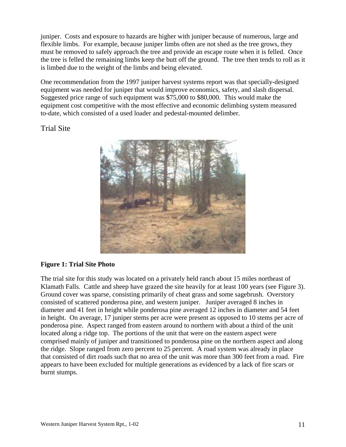<span id="page-10-0"></span>juniper. Costs and exposure to hazards are higher with juniper because of numerous, large and flexible limbs. For example, because juniper limbs often are not shed as the tree grows, they must be removed to safely approach the tree and provide an escape route when it is felled. Once the tree is felled the remaining limbs keep the butt off the ground. The tree then tends to roll as it is limbed due to the weight of the limbs and being elevated.

One recommendation from the 1997 juniper harvest systems report was that specially-designed equipment was needed for juniper that would improve economics, safety, and slash dispersal. Suggested price range of such equipment was \$75,000 to \$80,000. This would make the equipment cost competitive with the most effective and economic delimbing system measured to-date, which consisted of a used loader and pedestal-mounted delimber.

Trial Site



### **Figure 1: Trial Site Photo**

The trial site for this study was located on a privately held ranch about 15 miles northeast of Klamath Falls. Cattle and sheep have grazed the site heavily for at least 100 years (see Figure 3). Ground cover was sparse, consisting primarily of cheat grass and some sagebrush. Overstory consisted of scattered ponderosa pine, and western juniper. Juniper averaged 8 inches in diameter and 41 feet in height while ponderosa pine averaged 12 inches in diameter and 54 feet in height. On average, 17 juniper stems per acre were present as opposed to 10 stems per acre of ponderosa pine. Aspect ranged from eastern around to northern with about a third of the unit located along a ridge top. The portions of the unit that were on the eastern aspect were comprised mainly of juniper and transitioned to ponderosa pine on the northern aspect and along the ridge. Slope ranged from zero percent to 25 percent. A road system was already in place that consisted of dirt roads such that no area of the unit was more than 300 feet from a road. Fire appears to have been excluded for multiple generations as evidenced by a lack of fire scars or burnt stumps.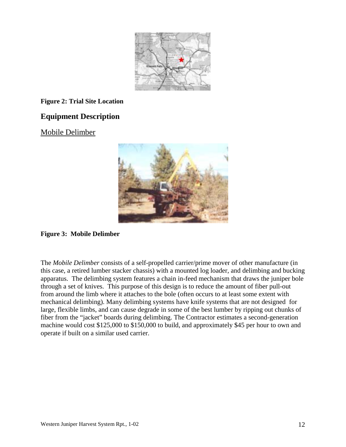

### <span id="page-11-0"></span>**Figure 2: Trial Site Location**

# **Equipment Description**

### Mobile Delimber



### **Figure 3: Mobile Delimber**

The *Mobile Delimber* consists of a self-propelled carrier/prime mover of other manufacture (in this case, a retired lumber stacker chassis) with a mounted log loader, and delimbing and bucking apparatus. The delimbing system features a chain in-feed mechanism that draws the juniper bole through a set of knives. This purpose of this design is to reduce the amount of fiber pull-out from around the limb where it attaches to the bole (often occurs to at least some extent with mechanical delimbing). Many delimbing systems have knife systems that are not designed for large, flexible limbs, and can cause degrade in some of the best lumber by ripping out chunks of fiber from the "jacket" boards during delimbing. The Contractor estimates a second-generation machine would cost \$125,000 to \$150,000 to build, and approximately \$45 per hour to own and operate if built on a similar used carrier.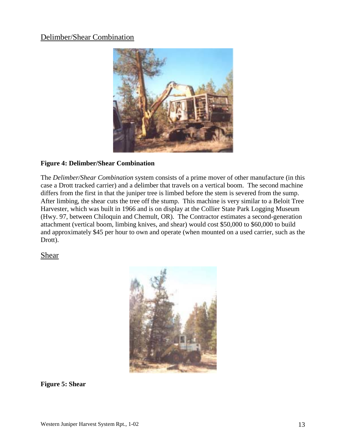# <span id="page-12-0"></span>Delimber/Shear Combination



#### **Figure 4: Delimber/Shear Combination**

The *Delimber/Shear Combination* system consists of a prime mover of other manufacture (in this case a Drott tracked carrier) and a delimber that travels on a vertical boom. The second machine differs from the first in that the juniper tree is limbed before the stem is severed from the sump. After limbing, the shear cuts the tree off the stump. This machine is very similar to a Beloit Tree Harvester, which was built in 1966 and is on display at the Collier State Park Logging Museum (Hwy. 97, between Chiloquin and Chemult, OR). The Contractor estimates a second-generation attachment (vertical boom, limbing knives, and shear) would cost \$50,000 to \$60,000 to build and approximately \$45 per hour to own and operate (when mounted on a used carrier, such as the Drott).

Shear



**Figure 5: Shear**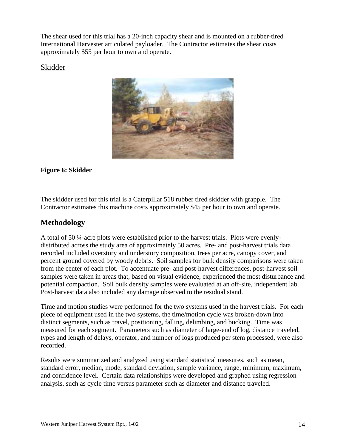<span id="page-13-0"></span>The shear used for this trial has a 20-inch capacity shear and is mounted on a rubber-tired International Harvester articulated payloader. The Contractor estimates the shear costs approximately \$55 per hour to own and operate.

### Skidder



### **Figure 6: Skidder**

The skidder used for this trial is a Caterpillar 518 rubber tired skidder with grapple. The Contractor estimates this machine costs approximately \$45 per hour to own and operate.

# **Methodology**

A total of 50 ¼-acre plots were established prior to the harvest trials. Plots were evenlydistributed across the study area of approximately 50 acres. Pre- and post-harvest trials data recorded included overstory and understory composition, trees per acre, canopy cover, and percent ground covered by woody debris. Soil samples for bulk density comparisons were taken from the center of each plot. To accentuate pre- and post-harvest differences, post-harvest soil samples were taken in areas that, based on visual evidence, experienced the most disturbance and potential compaction. Soil bulk density samples were evaluated at an off-site, independent lab. Post-harvest data also included any damage observed to the residual stand.

Time and motion studies were performed for the two systems used in the harvest trials. For each piece of equipment used in the two systems, the time/motion cycle was broken-down into distinct segments, such as travel, positioning, falling, delimbing, and bucking. Time was measured for each segment. Parameters such as diameter of large-end of log, distance traveled, types and length of delays, operator, and number of logs produced per stem processed, were also recorded.

Results were summarized and analyzed using standard statistical measures, such as mean, standard error, median, mode, standard deviation, sample variance, range, minimum, maximum, and confidence level. Certain data relationships were developed and graphed using regression analysis, such as cycle time versus parameter such as diameter and distance traveled.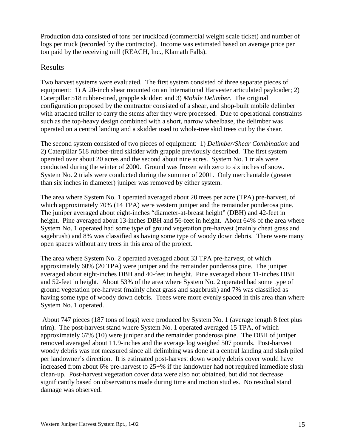<span id="page-14-0"></span>Production data consisted of tons per truckload (commercial weight scale ticket) and number of logs per truck (recorded by the contractor). Income was estimated based on average price per ton paid by the receiving mill (REACH, Inc., Klamath Falls).

### Results

Two harvest systems were evaluated. The first system consisted of three separate pieces of equipment: 1) A 20-inch shear mounted on an International Harvester articulated payloader; 2) Caterpillar 518 rubber-tired, grapple skidder; and 3) *Mobile Delimber*. The original configuration proposed by the contractor consisted of a shear, and shop-built mobile delimber with attached trailer to carry the stems after they were processed. Due to operational constraints such as the top-heavy design combined with a short, narrow wheelbase, the delimber was operated on a central landing and a skidder used to whole-tree skid trees cut by the shear.

The second system consisted of two pieces of equipment: 1) *Delimber/Shear Combination* and 2) Caterpillar 518 rubber-tired skidder with grapple previously described. The first system operated over about 20 acres and the second about nine acres. System No. 1 trials were conducted during the winter of 2000. Ground was frozen with zero to six inches of snow. System No. 2 trials were conducted during the summer of 2001. Only merchantable (greater than six inches in diameter) juniper was removed by either system.

The area where System No. 1 operated averaged about 20 trees per acre (TPA) pre-harvest, of which approximately 70% (14 TPA) were western juniper and the remainder ponderosa pine. The juniper averaged about eight-inches "diameter-at-breast height" (DBH) and 42-feet in height. Pine averaged about 13-inches DBH and 56-feet in height. About 64% of the area where System No. 1 operated had some type of ground vegetation pre-harvest (mainly cheat grass and sagebrush) and 8% was classified as having some type of woody down debris. There were many open spaces without any trees in this area of the project.

The area where System No. 2 operated averaged about 33 TPA pre-harvest, of which approximately 60% (20 TPA) were juniper and the remainder ponderosa pine. The juniper averaged about eight-inches DBH and 40-feet in height. Pine averaged about 11-inches DBH and 52-feet in height. About 53% of the area where System No. 2 operated had some type of ground vegetation pre-harvest (mainly cheat grass and sagebrush) and 7% was classified as having some type of woody down debris. Trees were more evenly spaced in this area than where System No. 1 operated.

 About 747 pieces (187 tons of logs) were produced by System No. 1 (average length 8 feet plus trim). The post-harvest stand where System No. 1 operated averaged 15 TPA, of which approximately 67% (10) were juniper and the remainder ponderosa pine. The DBH of juniper removed averaged about 11.9-inches and the average log weighed 507 pounds. Post-harvest woody debris was not measured since all delimbing was done at a central landing and slash piled per landowner's direction. It is estimated post-harvest down woody debris cover would have increased from about 6% pre-harvest to 25+% if the landowner had not required immediate slash clean-up. Post-harvest vegetation cover data were also not obtained, but did not decrease significantly based on observations made during time and motion studies. No residual stand damage was observed.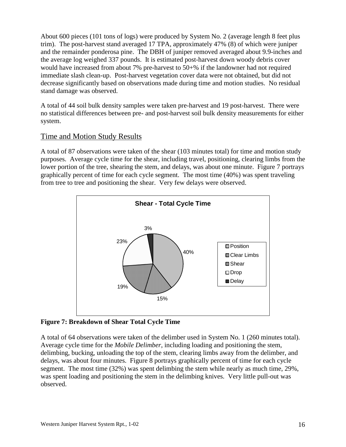<span id="page-15-0"></span>About 600 pieces (101 tons of logs) were produced by System No. 2 (average length 8 feet plus trim). The post-harvest stand averaged 17 TPA, approximately 47% (8) of which were juniper and the remainder ponderosa pine. The DBH of juniper removed averaged about 9.9-inches and the average log weighed 337 pounds. It is estimated post-harvest down woody debris cover would have increased from about 7% pre-harvest to 50+% if the landowner had not required immediate slash clean-up. Post-harvest vegetation cover data were not obtained, but did not decrease significantly based on observations made during time and motion studies. No residual stand damage was observed.

A total of 44 soil bulk density samples were taken pre-harvest and 19 post-harvest. There were no statistical differences between pre- and post-harvest soil bulk density measurements for either system.

# Time and Motion Study Results

A total of 87 observations were taken of the shear (103 minutes total) for time and motion study purposes. Average cycle time for the shear, including travel, positioning, clearing limbs from the lower portion of the tree, shearing the stem, and delays, was about one minute. Figure 7 portrays graphically percent of time for each cycle segment. The most time (40%) was spent traveling from tree to tree and positioning the shear. Very few delays were observed.



**Figure 7: Breakdown of Shear Total Cycle Time** 

A total of 64 observations were taken of the delimber used in System No. 1 (260 minutes total). Average cycle time for the *Mobile Delimber*, including loading and positioning the stem, delimbing, bucking, unloading the top of the stem, clearing limbs away from the delimber, and delays, was about four minutes. Figure 8 portrays graphically percent of time for each cycle segment. The most time (32%) was spent delimbing the stem while nearly as much time, 29%, was spent loading and positioning the stem in the delimbing knives. Very little pull-out was observed.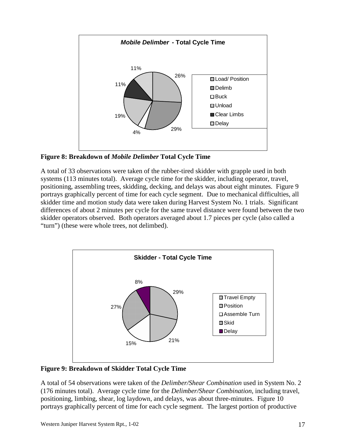<span id="page-16-0"></span>

**Figure 8: Breakdown of** *Mobile Delimber* **Total Cycle Time** 

A total of 33 observations were taken of the rubber-tired skidder with grapple used in both systems (113 minutes total). Average cycle time for the skidder, including operator, travel, positioning, assembling trees, skidding, decking, and delays was about eight minutes. Figure 9 portrays graphically percent of time for each cycle segment. Due to mechanical difficulties, all skidder time and motion study data were taken during Harvest System No. 1 trials. Significant differences of about 2 minutes per cycle for the same travel distance were found between the two skidder operators observed. Both operators averaged about 1.7 pieces per cycle (also called a "turn") (these were whole trees, not delimbed).



**Figure 9: Breakdown of Skidder Total Cycle Time** 

A total of 54 observations were taken of the *Delimber/Shear Combination* used in System No. 2 (176 minutes total). Average cycle time for the *Delimber/Shear Combination*, including travel, positioning, limbing, shear, log laydown, and delays, was about three-minutes. Figure 10 portrays graphically percent of time for each cycle segment. The largest portion of productive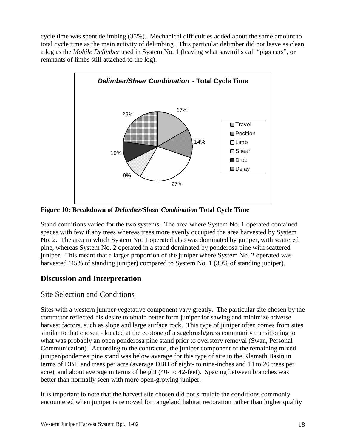<span id="page-17-0"></span>cycle time was spent delimbing (35%). Mechanical difficulties added about the same amount to total cycle time as the main activity of delimbing. This particular delimber did not leave as clean a log as the *Mobile Delimber* used in System No. 1 (leaving what sawmills call "pigs ears", or remnants of limbs still attached to the log).



**Figure 10: Breakdown of** *Delimber/Shear Combination* **Total Cycle Time** 

Stand conditions varied for the two systems. The area where System No. 1 operated contained spaces with few if any trees whereas trees more evenly occupied the area harvested by System No. 2. The area in which System No. 1 operated also was dominated by juniper, with scattered pine, whereas System No. 2 operated in a stand dominated by ponderosa pine with scattered juniper. This meant that a larger proportion of the juniper where System No. 2 operated was harvested (45% of standing juniper) compared to System No. 1 (30% of standing juniper).

# **Discussion and Interpretation**

# Site Selection and Conditions

Sites with a western juniper vegetative component vary greatly. The particular site chosen by the contractor reflected his desire to obtain better form juniper for sawing and minimize adverse harvest factors, such as slope and large surface rock. This type of juniper often comes from sites similar to that chosen - located at the ecotone of a sagebrush/grass community transitioning to what was probably an open ponderosa pine stand prior to overstory removal (Swan, Personal Communication). According to the contractor, the juniper component of the remaining mixed juniper/ponderosa pine stand was below average for this type of site in the Klamath Basin in terms of DBH and trees per acre (average DBH of eight- to nine-inches and 14 to 20 trees per acre), and about average in terms of height (40- to 42-feet). Spacing between branches was better than normally seen with more open-growing juniper.

It is important to note that the harvest site chosen did not simulate the conditions commonly encountered when juniper is removed for rangeland habitat restoration rather than higher quality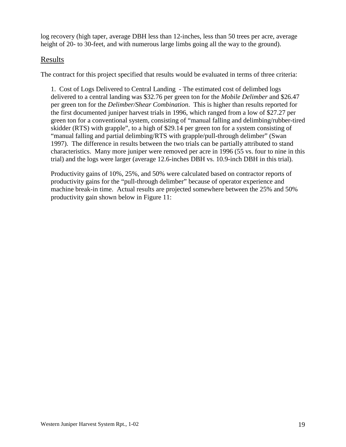<span id="page-18-0"></span>log recovery (high taper, average DBH less than 12-inches, less than 50 trees per acre, average height of 20- to 30-feet, and with numerous large limbs going all the way to the ground).

### Results

The contract for this project specified that results would be evaluated in terms of three criteria:

1. Cost of Logs Delivered to Central Landing - The estimated cost of delimbed logs delivered to a central landing was \$32.76 per green ton for the *Mobile Delimber* and \$26.47 per green ton for the *Delimber/Shear Combination*. This is higher than results reported for the first documented juniper harvest trials in 1996, which ranged from a low of \$27.27 per green ton for a conventional system, consisting of "manual falling and delimbing/rubber-tired skidder (RTS) with grapple", to a high of \$29.14 per green ton for a system consisting of "manual falling and partial delimbing/RTS with grapple/pull-through delimber" (Swan 1997). The difference in results between the two trials can be partially attributed to stand characteristics. Many more juniper were removed per acre in 1996 (55 vs. four to nine in this trial) and the logs were larger (average 12.6-inches DBH vs. 10.9-inch DBH in this trial).

Productivity gains of 10%, 25%, and 50% were calculated based on contractor reports of productivity gains for the "pull-through delimber" because of operator experience and machine break-in time. Actual results are projected somewhere between the 25% and 50% productivity gain shown below in Figure 11: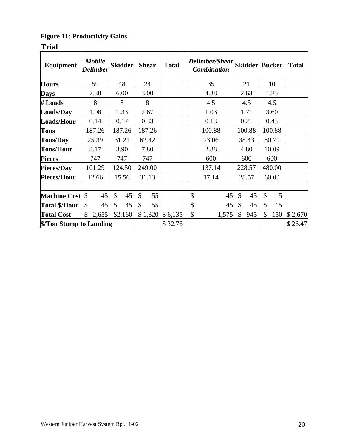# <span id="page-19-0"></span>**Figure 11: Productivity Gains**

**Trial** 

| Equipment              | <b>Mobile</b><br><b>Delimber</b> | <b>Skidder</b> | <b>Shear</b> | <b>Total</b> | Delimber/Shear<br><b>Combination</b> | <b>Skidder Bucker</b> |               |        | <b>Total</b> |
|------------------------|----------------------------------|----------------|--------------|--------------|--------------------------------------|-----------------------|---------------|--------|--------------|
| <b>Hours</b>           | 59                               | 48             | 24           |              | 35                                   | 21                    |               | 10     |              |
| <b>Days</b>            | 7.38                             | 6.00           | 3.00         |              | 4.38                                 | 2.63                  |               | 1.25   |              |
| # Loads                | 8                                | 8              | 8            |              | 4.5                                  | 4.5                   |               | 4.5    |              |
| Loads/Day              | 1.08                             | 1.33           | 2.67         |              | 1.03                                 | 1.71                  |               | 3.60   |              |
| Loads/Hour             | 0.14                             | 0.17           | 0.33         |              | 0.13                                 | 0.21                  |               | 0.45   |              |
| <b>Tons</b>            | 187.26                           | 187.26         | 187.26       |              | 100.88                               | 100.88                | 100.88        |        |              |
| <b>Tons/Day</b>        | 25.39                            | 31.21          | 62.42        |              | 23.06                                | 38.43                 | 80.70         |        |              |
| <b>Tons/Hour</b>       | 3.17                             | 3.90           | 7.80         |              | 2.88                                 | 4.80                  |               | 10.09  |              |
| <b>Pieces</b>          | 747                              | 747            | 747          |              | 600                                  | 600                   |               | 600    |              |
| Pieces/Day             | 101.29                           | 124.50         | 249.00       |              | 137.14                               | 228.57                |               | 480.00 |              |
| Pieces/Hour            | 12.66                            | 15.56          | 31.13        |              | 17.14                                | 28.57                 |               | 60.00  |              |
|                        |                                  |                |              |              |                                      |                       |               |        |              |
| <b>Machine Cost \$</b> | 45                               | \$<br>45       | \$<br>55     |              | \$<br>45                             | \$<br>45              | $\mathcal{S}$ | 15     |              |
| Total \$/Hour          | $\mathcal{S}$<br>45              | 45<br>\$       | \$<br>55     |              | \$<br>45                             | \$<br>45              | $\mathcal{S}$ | 15     |              |
| <b>Total Cost</b>      | \$<br>2,655                      | \$2,160        | \$1,320      | \$6,135      | \$<br>1,575                          | \$<br>945             | \$            | 150    | \$2,670      |
|                        | \$/Ton Stump to Landing          |                |              | \$32.76      |                                      |                       |               |        | \$26.47      |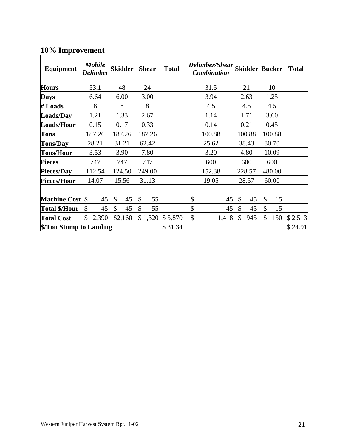# **10% Improvement**

| Equipment               | <b>Mobile</b><br><b>Delimber</b> | <b>Skidder</b> | <b>Shear</b> |         | <b>Total</b> | <b>Delimber/Shear</b><br><b>Combination</b> |       |       |        | <b>Skidder Bucker</b> |        | <b>Total</b> |     |  |
|-------------------------|----------------------------------|----------------|--------------|---------|--------------|---------------------------------------------|-------|-------|--------|-----------------------|--------|--------------|-----|--|
| <b>Hours</b>            | 53.1                             | 48             | 24           |         |              | 31.5                                        |       |       | 21     |                       | 10     |              |     |  |
| <b>Days</b>             | 6.64                             | 6.00           | 3.00         |         |              | 3.94                                        |       |       | 2.63   |                       | 1.25   |              |     |  |
| # Loads                 | 8                                | 8              | 8            |         |              | 4.5                                         |       |       | 4.5    |                       | 4.5    |              |     |  |
| Loads/Day               | 1.21                             | 1.33           | 2.67         |         |              | 1.14                                        |       |       | 1.71   |                       | 3.60   |              |     |  |
| Loads/Hour              | 0.15                             | 0.17           | 0.33         |         |              | 0.14                                        |       |       | 0.21   |                       | 0.45   |              |     |  |
| <b>Tons</b>             | 187.26                           | 187.26         | 187.26       |         |              | 100.88                                      |       |       | 100.88 | 100.88                |        |              |     |  |
| <b>Tons/Day</b>         | 28.21                            | 31.21          | 62.42        |         |              | 25.62                                       |       |       | 38.43  | 80.70                 |        |              |     |  |
| <b>Tons/Hour</b>        | 3.53                             | 3.90           | 7.80         |         |              | 3.20                                        |       |       | 4.80   |                       | 10.09  |              |     |  |
| <b>Pieces</b>           | 747                              | 747            | 747          |         |              | 600                                         |       |       | 600    |                       |        |              | 600 |  |
| Pieces/Day              | 112.54                           | 124.50         | 249.00       |         |              | 152.38                                      |       |       | 228.57 |                       | 480.00 |              |     |  |
| <b>Pieces/Hour</b>      | 14.07                            | 15.56          | 31.13        |         |              | 19.05                                       |       | 28.57 |        |                       | 60.00  |              |     |  |
|                         |                                  |                |              |         |              |                                             |       |       |        |                       |        |              |     |  |
| <b>Machine Cost</b> \$  | 45                               | \$<br>45       | \$           | 55      |              | \$                                          | 45    | \$    | 45     | $\mathcal{S}$         | 15     |              |     |  |
| <b>Total \$/Hour</b>    | \$<br>45                         | \$<br>45       | \$           | 55      |              | \$                                          | 45    | \$    | 45     | \$                    | 15     |              |     |  |
| <b>Total Cost</b>       | \$<br>2,390                      | \$2,160        |              | \$1,320 | \$5,870      | \$                                          | 1,418 | \$    | 945    | $\mathcal{S}$<br>150  |        | \$2,513      |     |  |
| \$/Ton Stump to Landing |                                  |                |              |         | \$31.34      |                                             |       |       |        |                       |        | \$24.91      |     |  |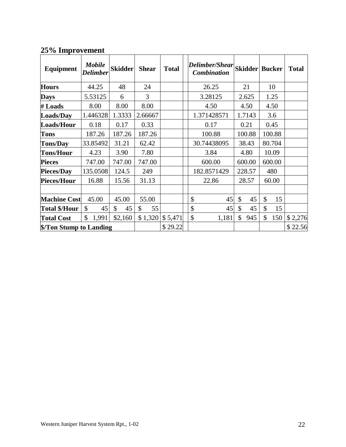# **25% Improvement**

| Equipment               | <b>Mobile</b><br><b>Delimber</b> | <b>Skidder</b> | <b>Shear</b> | <b>Total</b> | Delimber/Shear<br><b>Combination</b> |      |        | <b>Skidder Bucker</b> |        | <b>Total</b> |
|-------------------------|----------------------------------|----------------|--------------|--------------|--------------------------------------|------|--------|-----------------------|--------|--------------|
| <b>Hours</b>            | 44.25                            | 48             | 24           |              | 26.25                                |      | 21     |                       | 10     |              |
| <b>Days</b>             | 5.53125                          | 6              | 3            |              | 3.28125                              |      | 2.625  |                       | 1.25   |              |
| # Loads                 | 8.00                             | 8.00           | 8.00         |              | 4.50                                 |      | 4.50   |                       | 4.50   |              |
| Loads/Day               | 1.446328                         | 1.3333         | 2.66667      |              | 1.371428571                          |      | 1.7143 |                       | 3.6    |              |
| Loads/Hour              | 0.18                             | 0.17           | 0.33         |              | 0.17                                 | 0.21 |        | 0.45                  |        |              |
| <b>Tons</b>             | 187.26                           | 187.26         | 187.26       |              | 100.88                               |      | 100.88 |                       | 100.88 |              |
| <b>Tons/Day</b>         | 33.85492                         | 31.21          | 62.42        |              | 30.74438095                          |      | 38.43  | 80.704                |        |              |
| <b>Tons/Hour</b>        | 4.23                             | 3.90           | 7.80         |              | 3.84                                 |      | 4.80   |                       | 10.09  |              |
| <b>Pieces</b>           | 747.00                           | 747.00         | 747.00       |              | 600.00                               |      | 600.00 |                       | 600.00 |              |
| Pieces/Day              | 135.0508                         | 124.5          | 249          |              | 182.8571429                          |      | 228.57 |                       | 480    |              |
| Pieces/Hour             | 16.88                            | 15.56          | 31.13        |              | 22.86                                |      | 28.57  |                       | 60.00  |              |
|                         |                                  |                |              |              |                                      |      |        |                       |        |              |
| <b>Machine Cost</b>     | 45.00                            | 45.00          | 55.00        |              | \$<br>45                             | \$   | 45     | \$                    | 15     |              |
| Total \$/Hour           | $\mathcal{S}$<br>45              | \$<br>45       | \$<br>55     |              | \$<br>45                             | \$   | 45     | \$                    | 15     |              |
| <b>Total Cost</b>       | \$<br>1,991                      | \$2,160        | \$1,320      | \$5,471      | \$<br>1,181                          | \$   | 945    | \$                    | 150    | \$2,276      |
| \$/Ton Stump to Landing |                                  |                |              | \$29.22      |                                      |      |        |                       |        | \$22.56      |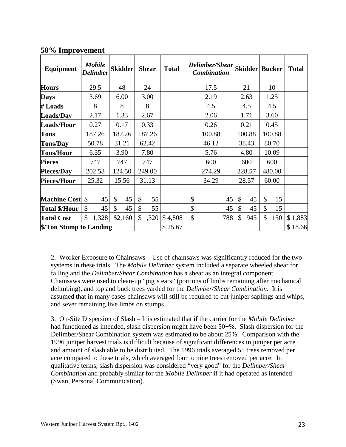| Equipment              |                         | <b>Mobile</b><br><b>Delimber</b> |               | <b>Skidder</b> | <b>Shear</b> |         | <b>Total</b> |    | Delimber/Shear<br><b>Combination</b> |     |               | <b>Skidder Bucker</b> |               |         | <b>Total</b> |       |  |  |
|------------------------|-------------------------|----------------------------------|---------------|----------------|--------------|---------|--------------|----|--------------------------------------|-----|---------------|-----------------------|---------------|---------|--------------|-------|--|--|
| <b>Hours</b>           |                         | 29.5                             |               | 48             | 24           |         |              |    | 17.5                                 |     |               | 21                    |               | 10      |              |       |  |  |
| <b>Days</b>            |                         | 3.69                             |               | 6.00           | 3.00         |         |              |    | 2.19                                 |     |               | 2.63                  |               | 1.25    |              |       |  |  |
| # Loads                |                         | 8                                |               | 8              | 8            |         |              |    | 4.5                                  |     |               | 4.5                   |               | 4.5     |              |       |  |  |
| Loads/Day              |                         | 2.17                             |               | 1.33           | 2.67         |         |              |    | 2.06                                 |     |               | 1.71                  |               |         |              | 3.60  |  |  |
| Loads/Hour             |                         | 0.27                             |               | 0.17           | 0.33         |         |              |    | 0.26                                 |     |               | 0.21                  | 0.45          |         |              |       |  |  |
| <b>Tons</b>            |                         | 187.26                           |               | 187.26         |              | 187.26  |              |    | 100.88                               |     |               | 100.88                | 100.88        |         |              |       |  |  |
| <b>Tons/Day</b>        |                         | 50.78                            |               | 31.21          | 62.42        |         |              |    | 46.12                                |     |               | 38.43                 | 80.70         |         |              |       |  |  |
| <b>Tons/Hour</b>       |                         | 6.35                             |               | 3.90           | 7.80         |         |              |    | 5.76                                 |     |               | 4.80                  |               | 10.09   |              |       |  |  |
| <b>Pieces</b>          |                         | 747                              |               | 747            | 747          |         |              |    | 600                                  |     | 600           |                       |               | 600     |              |       |  |  |
| Pieces/Day             |                         | 202.58                           |               | 124.50         | 249.00       |         |              |    | 274.29                               |     |               | 228.57                |               | 480.00  |              |       |  |  |
| Pieces/Hour            |                         | 25.32                            |               | 15.56          | 31.13        |         |              |    | 34.29                                |     | 28.57         |                       |               |         |              | 60.00 |  |  |
|                        |                         |                                  |               |                |              |         |              |    |                                      |     |               |                       |               |         |              |       |  |  |
| <b>Machine Cost</b> \$ |                         | 45                               | $\mathcal{S}$ | 45             | \$           | 55      |              | \$ |                                      | 45  | $\mathcal{S}$ | 45                    | $\mathcal{S}$ | 15      |              |       |  |  |
| <b>Total \$/Hour</b>   | $\mathcal{S}$           | 45                               | \$            | 45             | \$           | 55      |              | \$ |                                      | 45  | $\mathcal{S}$ | 45                    | \$            | 15      |              |       |  |  |
| <b>Total Cost</b>      | \$                      | 1,328                            |               | \$2,160        |              | \$1,320 | \$4,808      | \$ |                                      | 788 | \$            | 945                   | \$            | 150     | \$1,883      |       |  |  |
|                        | \$/Ton Stump to Landing |                                  |               |                |              | \$25.67 |              |    |                                      |     |               |                       |               | \$18.66 |              |       |  |  |

### **50% Improvement**

2. Worker Exposure to Chainsaws – Use of chainsaws was significantly reduced for the two systems in these trials. The *Mobile Delimber* system included a separate wheeled shear for falling and the *Delimber/Shear Combination* has a shear as an integral component. Chainsaws were used to clean-up "pig's ears" (portions of limbs remaining after mechanical delimbing), and top and buck trees yarded for the *Delimber/Shear Combination*. It is assumed that in many cases chainsaws will still be required to cut juniper saplings and whips, and sever remaining live limbs on stumps.

3. On-Site Dispersion of Slash – It is estimated that if the carrier for the *Mobile Delimber* had functioned as intended, slash dispersion might have been 50+%. Slash dispersion for the Delimber/Shear Combination system was estimated to be about 25%. Comparison with the 1996 juniper harvest trials is difficult because of significant differences in juniper per acre and amount of slash able to be distributed. The 1996 trials averaged 55 trees removed per acre compared to these trials, which averaged four to nine trees removed per acre. In qualitative terms, slash dispersion was considered "very good" for the *Delimber/Shear Combination* and probably similar for the *Mobile Delimber* if it had operated as intended (Swan, Personal Communication).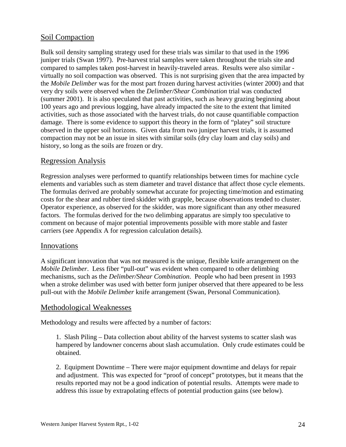### <span id="page-23-0"></span>Soil Compaction

Bulk soil density sampling strategy used for these trials was similar to that used in the 1996 juniper trials (Swan 1997). Pre-harvest trial samples were taken throughout the trials site and compared to samples taken post-harvest in heavily-traveled areas. Results were also similar virtually no soil compaction was observed. This is not surprising given that the area impacted by the *Mobile Delimber* was for the most part frozen during harvest activities (winter 2000) and that very dry soils were observed when the *Delimber/Shear Combination* trial was conducted (summer 2001). It is also speculated that past activities, such as heavy grazing beginning about 100 years ago and previous logging, have already impacted the site to the extent that limited activities, such as those associated with the harvest trials, do not cause quantifiable compaction damage. There is some evidence to support this theory in the form of "platey" soil structure observed in the upper soil horizons. Given data from two juniper harvest trials, it is assumed compaction may not be an issue in sites with similar soils (dry clay loam and clay soils) and history, so long as the soils are frozen or dry.

### Regression Analysis

Regression analyses were performed to quantify relationships between times for machine cycle elements and variables such as stem diameter and travel distance that affect those cycle elements. The formulas derived are probably somewhat accurate for projecting time/motion and estimating costs for the shear and rubber tired skidder with grapple, because observations tended to cluster. Operator experience, as observed for the skidder, was more significant than any other measured factors. The formulas derived for the two delimbing apparatus are simply too speculative to comment on because of major potential improvements possible with more stable and faster carriers (see Appendix A for regression calculation details).

### Innovations

A significant innovation that was not measured is the unique, flexible knife arrangement on the *Mobile Delimber*. Less fiber "pull-out" was evident when compared to other delimbing mechanisms, such as the *Delimber/Shear Combination*. People who had been present in 1993 when a stroke delimber was used with better form juniper observed that there appeared to be less pull-out with the *Mobile Delimber* knife arrangement (Swan, Personal Communication).

### Methodological Weaknesses

Methodology and results were affected by a number of factors:

1. Slash Piling – Data collection about ability of the harvest systems to scatter slash was hampered by landowner concerns about slash accumulation. Only crude estimates could be obtained.

2. Equipment Downtime – There were major equipment downtime and delays for repair and adjustment. This was expected for "proof of concept" prototypes, but it means that the results reported may not be a good indication of potential results. Attempts were made to address this issue by extrapolating effects of potential production gains (see below).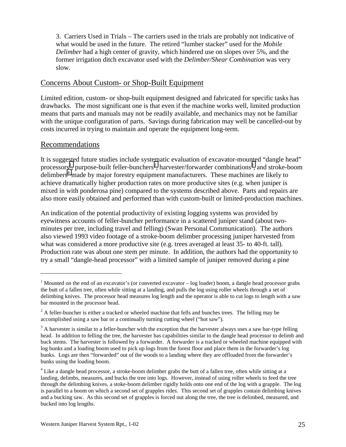<span id="page-24-0"></span>3. Carriers Used in Trials – The carriers used in the trials are probably not indicative of what would be used in the future. The retired "lumber stacker" used for the *Mobile Delimber* had a high center of gravity, which hindered use on slopes over 5%, and the former irrigation ditch excavator used with the *Delimber/Shear Combination* was very slow.

### Concerns About Custom- or Shop-Built Equipment

Limited edition, custom- or shop-built equipment designed and fabricated for specific tasks has drawbacks. The most significant one is that even if the machine works well, limited production means that parts and manuals may not be readily available, and mechanics may not be familiar with the unique configuration of parts. Savings during fabrication may well be cancelled-out by costs incurred in trying to maintain and operate the equipment long-term.

### Recommendations

 $\overline{a}$ 

It is suggested future studies include systematic evaluation of excavator-mounted "dangle head" processors<sup>1</sup>, purpose-built feller-bunchers<sup>2</sup>, harvester/forwarder combinations<sup>3</sup>, and stroke-boom delimbers<sup>4</sup> made by major forestry equipment manufacturers. These machines are likely to achieve dramatically higher production rates on more productive sites (e.g. when juniper is mixed in with ponderosa pine) compared to the systems described above. Parts and repairs are also more easily obtained and performed than with custom-built or limited-production machines.

An indication of the potential productivity of existing logging systems was provided by eyewitness accounts of feller-buncher performance in a scattered juniper stand (about twominutes per tree, including travel and felling) (Swan Personal Communication). The authors also viewed 1993 video footage of a stroke-boom delimber processing juniper harvested from what was considered a more productive site (e.g. trees averaged at least 35- to 40-ft. tall). Production rate was about one stem per minute. In addition, the authors had the opportunity to try a small "dangle-head processor" with a limited sample of juniper removed during a pine

 $1$  Mounted on the end of an excavator's (or converted excavator  $-$  log loader) boom, a dangle head processor grabs the butt of a fallen tree, often while sitting at a landing, and pulls the log using roller wheels through a set of delimbing knives. The processor head measures log length and the operator is able to cut logs to length with a saw bar mounted in the processor head.

 $2^2$  A feller-buncher is either a tracked or wheeled machine that fells and bunches trees. The felling may be accomplished using a saw bar or a continually turning cutting wheel ("hot saw").

 $3$  A harvester is similar to a feller-buncher with the exception that the harvester always uses a saw bar-type felling head. In addition to felling the tree, the harvester has capabilities similar to the dangle head processor to delimb and buck stems. The harvester is followed by a forwarder. A forwarder is a tracked or wheeled machine equipped with log bunks and a loading boom used to pick up logs from the forest floor and place them in the forwarder's log bunks. Logs are then "forwarded" out of the woods to a landing where they are offloaded from the forwarder's bunks using the loading boom.

 $4$  Like a dangle head processor, a stroke-boom delimber grabs the butt of a fallen tree, often while sitting at a landing, delimbs, measures, and bucks the tree into logs. However, instead of using roller wheels to feed the tree through the delimbing knives, a stoke-boom delimber rigidly holds onto one end of the log with a grapple. The log is parallel to a boom on which a second set of grapples rides. This second set of grapples contain delimbing knives and a bucking saw. As this second set of grapples is forced out along the tree, the tree is delimbed, measured, and bucked into log lengths.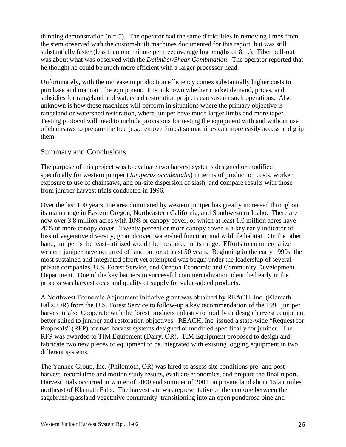<span id="page-25-0"></span>thinning demonstration  $(n = 5)$ . The operator had the same difficulties in removing limbs from the stem observed with the custom-built machines documented for this report, but was still substantially faster (less than one minute per tree; average log lengths of 8 ft.). Fiber pull-out was about what was observed with the *Delimber/Shear Combination*. The operator reported that he thought he could be much more efficient with a larger processor head.

Unfortunately, with the increase in production efficiency comes substantially higher costs to purchase and maintain the equipment. It is unknown whether market demand, prices, and subsidies for rangeland and watershed restoration projects can sustain such operations. Also unknown is how these machines will perform in situations where the primary objective is rangeland or watershed restoration, where juniper have much larger limbs and more taper. Testing protocol will need to include provisions for testing the equipment with and without use of chainsaws to prepare the tree (e.g. remove limbs) so machines can more easily access and grip them.

### Summary and Conclusions

The purpose of this project was to evaluate two harvest systems designed or modified specifically for western juniper (*Juniperus occidentalis*) in terms of production costs, worker exposure to use of chainsaws, and on-site dispersion of slash, and compare results with those from juniper harvest trials conducted in 1996.

Over the last 100 years, the area dominated by western juniper has greatly increased throughout its main range in Eastern Oregon, Northeastern California, and Southwestern Idaho. There are now over 3.8 million acres with 10% or canopy cover, of which at least 1.0 million acres have 20% or more canopy cover. Twenty percent or more canopy cover is a key early indicator of loss of vegetative diversity, groundcover, watershed function, and wildlife habitat. On the other hand, juniper is the least–utilized wood fiber resource in its range. Efforts to commercialize western juniper have occurred off and on for at least 50 years. Beginning in the early 1990s, the most sustained and integrated effort yet attempted was begun under the leadership of several private companies, U.S. Forest Service, and Oregon Economic and Community Development Department. One of the key barriers to successful commercialization identified early in the process was harvest costs and quality of supply for value-added products.

A Northwest Economic Adjustment Initiative grant was obtained by REACH, Inc. (Klamath Falls, OR) from the U.S. Forest Service to follow-up a key recommendation of the 1996 juniper harvest trials: Cooperate with the forest products industry to modify or design harvest equipment better suited to juniper and restoration objectives. REACH, Inc. issued a state-wide "Request for Proposals" (RFP) for two harvest systems designed or modified specifically for juniper. The RFP was awarded to TIM Equipment (Dairy, OR). TIM Equipment proposed to design and fabricate two new pieces of equipment to be integrated with existing logging equipment in two different systems.

The Yankee Group, Inc. (Philomoth, OR) was hired to assess site conditions pre- and postharvest, record time and motion study results, evaluate economics, and prepare the final report. Harvest trials occurred in winter of 2000 and summer of 2001 on private land about 15 air miles northeast of Klamath Falls. The harvest site was representative of the ecotone between the sagebrush/grassland vegetative community transitioning into an open ponderosa pine and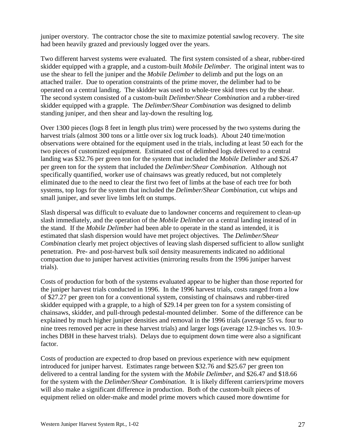juniper overstory. The contractor chose the site to maximize potential sawlog recovery. The site had been heavily grazed and previously logged over the years.

Two different harvest systems were evaluated. The first system consisted of a shear, rubber-tired skidder equipped with a grapple, and a custom-built *Mobile Delimber*. The original intent was to use the shear to fell the juniper and the *Mobile Delimber* to delimb and put the logs on an attached trailer. Due to operation constraints of the prime mover, the delimber had to be operated on a central landing. The skidder was used to whole-tree skid trees cut by the shear. The second system consisted of a custom-built *Delimber/Shear Combination* and a rubber-tired skidder equipped with a grapple. The *Delimber/Shear Combination* was designed to delimb standing juniper, and then shear and lay-down the resulting log.

Over 1300 pieces (logs 8 feet in length plus trim) were processed by the two systems during the harvest trials (almost 300 tons or a little over six log truck loads). About 240 time/motion observations were obtained for the equipment used in the trials, including at least 50 each for the two pieces of customized equipment. Estimated cost of delimbed logs delivered to a central landing was \$32.76 per green ton for the system that included the *Mobile Delimber* and \$26.47 per green ton for the system that included the *Delimber/Shear Combination*. Although not specifically quantified, worker use of chainsaws was greatly reduced, but not completely eliminated due to the need to clear the first two feet of limbs at the base of each tree for both systems, top logs for the system that included the *Delimber/Shear Combination*, cut whips and small juniper, and sever live limbs left on stumps.

Slash dispersal was difficult to evaluate due to landowner concerns and requirement to clean-up slash immediately, and the operation of the *Mobile Delimber* on a central landing instead of in the stand. If the *Mobile Delimber* had been able to operate in the stand as intended, it is estimated that slash dispersion would have met project objectives. The *Delimber/Shear Combination* clearly met project objectives of leaving slash dispersed sufficient to allow sunlight penetration. Pre- and post-harvest bulk soil density measurements indicated no additional compaction due to juniper harvest activities (mirroring results from the 1996 juniper harvest trials).

Costs of production for both of the systems evaluated appear to be higher than those reported for the juniper harvest trials conducted in 1996. In the 1996 harvest trials, costs ranged from a low of \$27.27 per green ton for a conventional system, consisting of chainsaws and rubber-tired skidder equipped with a grapple, to a high of \$29.14 per green ton for a system consisting of chainsaws, skidder, and pull-through pedestal-mounted delimber. Some of the difference can be explained by much higher juniper densities and removal in the 1996 trials (average 55 vs. four to nine trees removed per acre in these harvest trials) and larger logs (average 12.9-inches vs. 10.9 inches DBH in these harvest trials). Delays due to equipment down time were also a significant factor.

Costs of production are expected to drop based on previous experience with new equipment introduced for juniper harvest. Estimates range between \$32.76 and \$25.67 per green ton delivered to a central landing for the system with the *Mobile Delimber*, and \$26.47 and \$18.66 for the system with the *Delimber/Shear Combination*. It is likely different carriers/prime movers will also make a significant difference in production. Both of the custom-built pieces of equipment relied on older-make and model prime movers which caused more downtime for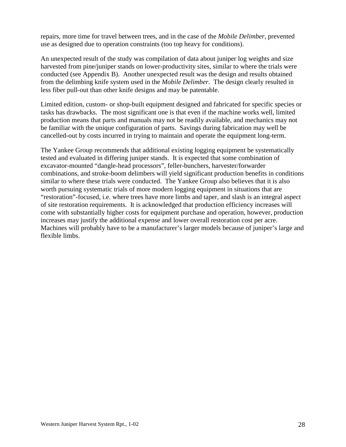repairs, more time for travel between trees, and in the case of the *Mobile Delimber*, prevented use as designed due to operation constraints (too top heavy for conditions).

An unexpected result of the study was compilation of data about juniper log weights and size harvested from pine/juniper stands on lower-productivity sites, similar to where the trials were conducted (see Appendix B). Another unexpected result was the design and results obtained from the delimbing knife system used in the *Mobile Delimber*. The design clearly resulted in less fiber pull-out than other knife designs and may be patentable.

Limited edition, custom- or shop-built equipment designed and fabricated for specific species or tasks has drawbacks. The most significant one is that even if the machine works well, limited production means that parts and manuals may not be readily available, and mechanics may not be familiar with the unique configuration of parts. Savings during fabrication may well be cancelled-out by costs incurred in trying to maintain and operate the equipment long-term.

The Yankee Group recommends that additional existing logging equipment be systematically tested and evaluated in differing juniper stands. It is expected that some combination of excavator-mounted "dangle-head processors", feller-bunchers, harvester/forwarder combinations, and stroke-boom delimbers will yield significant production benefits in conditions similar to where these trials were conducted. The Yankee Group also believes that it is also worth pursuing systematic trials of more modern logging equipment in situations that are "restoration"-focused, i.e. where trees have more limbs and taper, and slash is an integral aspect of site restoration requirements. It is acknowledged that production efficiency increases will come with substantially higher costs for equipment purchase and operation, however, production increases may justify the additional expense and lower overall restoration cost per acre. Machines will probably have to be a manufacturer's larger models because of juniper's large and flexible limbs.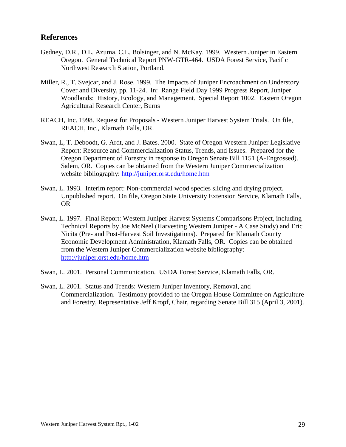### <span id="page-28-0"></span>**References**

- Gedney, D.R., D.L. Azuma, C.L. Bolsinger, and N. McKay. 1999. Western Juniper in Eastern Oregon. General Technical Report PNW-GTR-464. USDA Forest Service, Pacific Northwest Research Station, Portland.
- Miller, R., T. Svejcar, and J. Rose. 1999. The Impacts of Juniper Encroachment on Understory Cover and Diversity, pp. 11-24. In: Range Field Day 1999 Progress Report, Juniper Woodlands: History, Ecology, and Management. Special Report 1002. Eastern Oregon Agricultural Research Center, Burns
- REACH, Inc. 1998. Request for Proposals Western Juniper Harvest System Trials. On file, REACH, Inc., Klamath Falls, OR.
- Swan, L, T. Deboodt, G. Ardt, and J. Bates. 2000. State of Oregon Western Juniper Legislative Report: Resource and Commercialization Status, Trends, and Issues. Prepared for the Oregon Department of Forestry in response to Oregon Senate Bill 1151 (A-Engrossed). Salem, OR. Copies can be obtained from the Western Juniper Commercialization website bibliography: http://juniper.orst.edu/home.htm
- Swan, L. 1993. Interim report: Non-commercial wood species slicing and drying project. Unpublished report. On file, Oregon State University Extension Service, Klamath Falls, OR
- Swan, L. 1997. Final Report: Western Juniper Harvest Systems Comparisons Project, including Technical Reports by Joe McNeel (Harvesting Western Juniper - A Case Study) and Eric Nicita (Pre- and Post-Harvest Soil Investigations). Prepared for Klamath County Economic Development Administration, Klamath Falls, OR. Copies can be obtained from the Western Juniper Commercialization website bibliography: http://juniper.orst.edu/home.htm
- Swan, L. 2001. Personal Communication. USDA Forest Service, Klamath Falls, OR.
- Swan, L. 2001. Status and Trends: Western Juniper Inventory, Removal, and Commercialization. Testimony provided to the Oregon House Committee on Agriculture and Forestry, Representative Jeff Kropf, Chair, regarding Senate Bill 315 (April 3, 2001).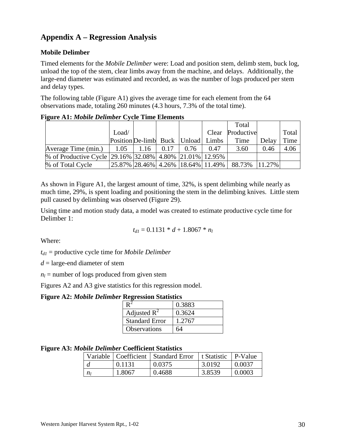# <span id="page-29-0"></span>**Appendix A – Regression Analysis**

### **Mobile Delimber**

Timed elements for the *Mobile Delimber* were: Load and position stem, delimb stem, buck log, unload the top of the stem, clear limbs away from the machine, and delays. Additionally, the large-end diameter was estimated and recorded, as was the number of logs produced per stem and delay types.

The following table (Figure A1) gives the average time for each element from the 64 observations made, totaling 260 minutes (4.3 hours, 7.3% of the total time).

| $\bullet$                                               |                                    |      |      |      |       |                                                            |       |       |
|---------------------------------------------------------|------------------------------------|------|------|------|-------|------------------------------------------------------------|-------|-------|
|                                                         |                                    |      |      |      |       | Total                                                      |       |       |
|                                                         | Load/                              |      |      |      | Clear | Productive                                                 |       | Total |
|                                                         | Position De-limb Buck Unload Limbs |      |      |      |       | Time                                                       | Delay | Time  |
| Average Time (min.)                                     | 1.05                               | 1.16 | 0.17 | 0.76 | 0.47  | 3.60                                                       | 0.46  | 4.06  |
| % of Productive Cycle 29.16% 32.08% 4.80% 21.01% 12.95% |                                    |      |      |      |       |                                                            |       |       |
| % of Total Cycle                                        |                                    |      |      |      |       | 25.87%  28.46%   4.26%   18.64%   11.49%   88.73%   11.27% |       |       |

**Figure A1:** *Mobile Delimber* **Cycle Time Elements** 

As shown in Figure A1, the largest amount of time, 32%, is spent delimbing while nearly as much time, 29%, is spent loading and positioning the stem in the delimbing knives. Little stem pull caused by delimbing was observed (Figure 29).

Using time and motion study data, a model was created to estimate productive cycle time for Delimber 1:

$$
t_{d1}=0.1131 * d + 1.8067 * n_l
$$

Where:

 $t_{d1}$  = productive cycle time for *Mobile Delimber* 

*d* = large-end diameter of stem

 $n_l$  = number of logs produced from given stem

Figures A2 and A3 give statistics for this regression model.

#### **Figure A2:** *Mobile Delimber* **Regression Statistics**

|                       | 0.3883 |
|-----------------------|--------|
| Adjusted $R^2$        | 0.3624 |
| <b>Standard Error</b> | 1.2767 |
| <b>Observations</b>   |        |

#### **Figure A3:** *Mobile Delimber* **Coefficient Statistics**

|    |        | Variable   Coefficient   Standard Error | 1 t Statistic | P-Value |
|----|--------|-----------------------------------------|---------------|---------|
|    | 0.1131 | 0.0375                                  | 3.0192        | 0.0037  |
| nı | 1.8067 | 0.4688                                  | 3.8539        | 0.0003  |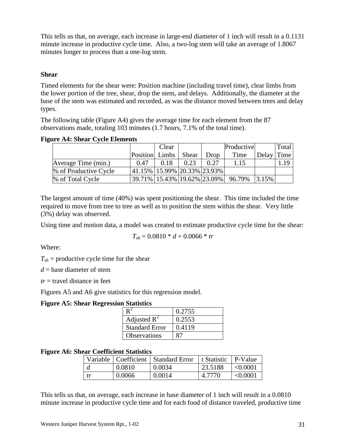<span id="page-30-0"></span>This tells us that, on average, each increase in large-end diameter of 1 inch will result in a 0.1131 minute increase in productive cycle time. Also, a two-log stem will take an average of 1.8067 minutes longer to process than a one-log stem.

#### **Shear**

Timed elements for the shear were: Position machine (including travel time), clear limbs from the lower portion of the tree, shear, drop the stem, and delays. Additionally, the diameter at the base of the stem was estimated and recorded, as was the distance moved between trees and delay types.

The following table (Figure A4) gives the average time for each element from the 87 observations made, totaling 103 minutes (1.7 hours, 7.1% of the total time).

|                       |                             | Clear |       |      | Productive                                 |            | Total |
|-----------------------|-----------------------------|-------|-------|------|--------------------------------------------|------------|-------|
|                       | Position Limbs              |       | Shear | Drop | Time                                       | Delay Time |       |
| Average Time (min.)   | 0.47                        | 0.18  | 0.23  | 0.27 | 1.15                                       |            | .19   |
| % of Productive Cycle | 41.15% 15.99% 20.33% 23.93% |       |       |      |                                            |            |       |
| % of Total Cycle      |                             |       |       |      | 39.71%   15.43%   19.62%   23.09%   96.79% | 3.15%      |       |

The largest amount of time (40%) was spent positioning the shear. This time included the time required to move from tree to tree as well as to position the stem within the shear. Very little (3%) delay was observed.

Using time and motion data, a model was created to estimate productive cycle time for the shear:

$$
T_{sh} = 0.0810 * d + 0.0066 * tr
$$

Where:

 $T_{sh}$  = productive cycle time for the shear

 $d =$  base diameter of stem

 $tr =$  travel distance in feet

Figures A5 and A6 give statistics for this regression model.

#### **Figure A5: Shear Regression Statistics**

|                         | 0.2755 |
|-------------------------|--------|
| Adjusted $\mathbb{R}^2$ | 0.2553 |
| <b>Standard Error</b>   | 0.4119 |
| <b>Observations</b>     |        |

#### **Figure A6: Shear Coefficient Statistics**

|    |        | Variable   Coefficient   Standard Error | l t Statistic | P-Value       |
|----|--------|-----------------------------------------|---------------|---------------|
|    | 0.0810 | 0.0034                                  | 23.5188       | $\leq 0.0001$ |
| tr | 0.0066 | 0.0014                                  | 4.7770        | < 0.0001      |

This tells us that, on average, each increase in base diameter of 1 inch will result in a 0.0810 minute increase in productive cycle time and for each food of distance traveled, productive time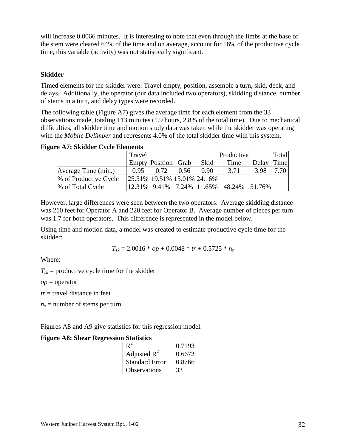<span id="page-31-0"></span>will increase 0.0066 minutes. It is interesting to note that even through the limbs at the base of the stem were cleared 64% of the time and on average, account for 16% of the productive cycle time, this variable (activity) was not statistically significant.

### **Skidder**

Timed elements for the skidder were: Travel empty, position, assemble a turn, skid, deck, and delays. Additionally, the operator (our data included two operators), skidding distance, number of stems in a turn, and delay types were recorded.

The following table (Figure A7) gives the average time for each element from the 33 observations made, totaling 113 minutes (1.9 hours, 2.8% of the total time). Due to mechanical difficulties, all skidder time and motion study data was taken while the skidder was operating with the *Mobile Delimber* and represents 4.0% of the total skidder time with this system.

|  |  | <b>Figure A7: Skidder Cycle Elements</b> |
|--|--|------------------------------------------|
|  |  |                                          |

|                       | Travel                                                        |                     |      |                   | Productive                              |            | Total |
|-----------------------|---------------------------------------------------------------|---------------------|------|-------------------|-----------------------------------------|------------|-------|
|                       |                                                               | Empty Position Grab |      | Skid              | Time                                    | Delay Time |       |
| Average Time (min.)   | 0.95                                                          | 0.72                | 0.56 | 0.90 <sub>1</sub> | 3.71                                    | 3.98       | 7.70  |
| % of Productive Cycle | $\left[25.51\% \right]$ 19.51% $\left[15.01\% \right]$ 24.16% |                     |      |                   |                                         |            |       |
| % of Total Cycle      |                                                               |                     |      |                   | 12.31% 9.41% 7.24% 11.65% 48.24% 51.76% |            |       |

However, large differences were seen between the two operators. Average skidding distance was 210 feet for Operator A and 220 feet for Operator B. Average number of pieces per turn was 1.7 for both operators. This difference is represented in the model below.

Using time and motion data, a model was created to estimate productive cycle time for the skidder:

$$
T_{sk} = 2.0016 * op + 0.0048 * tr + 0.5725 * n_s
$$

Where:

 $T_{sk}$  = productive cycle time for the skidder

*op* = operator

*tr* = travel distance in feet

 $n_s$  = number of stems per turn

Figures A8 and A9 give statistics for this regression model.

### **Figure A8: Shear Regression Statistics**

|                       | 0.7193 |
|-----------------------|--------|
| Adjusted $R^2$        | 0.6672 |
| <b>Standard Error</b> | 0.8766 |
| <b>Observations</b>   |        |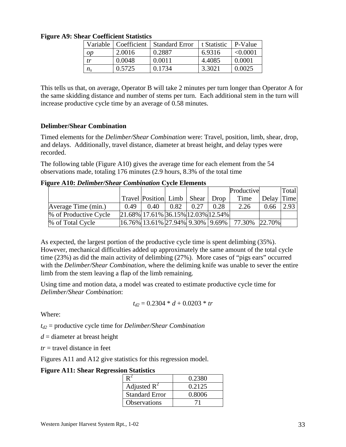|             | Variable   Coefficient | <b>Standard Error</b> | t Statistic | P-Value       |
|-------------|------------------------|-----------------------|-------------|---------------|
| op          | 2.0016                 | 0.2887                | 6.9316      | $\leq 0.0001$ |
| tr          | 0.0048                 | 0.0011                | 4.4085      | 0.0001        |
| $n_{\rm s}$ | 0.5725                 | 0.1734                | 3.3021      | 0.0025        |

<span id="page-32-0"></span>**Figure A9: Shear Coefficient Statistics** 

This tells us that, on average, Operator B will take 2 minutes per turn longer than Operator A for the same skidding distance and number of stems per turn. Each additional stem in the turn will increase productive cycle time by an average of 0.58 minutes.

### **Delimber/Shear Combination**

Timed elements for the *Delimber/Shear Combination* were: Travel, position, limb, shear, drop, and delays. Additionally, travel distance, diameter at breast height, and delay types were recorded.

The following table (Figure A10) gives the average time for each element from the 54 observations made, totaling 176 minutes (2.9 hours, 8.3% of the total time

**Figure A10:** *Delimber/Shear Combination* **Cycle Elements** 

|                       |      |                                                                                        |      |      |      | Productive                                                                                                          |            | Total |
|-----------------------|------|----------------------------------------------------------------------------------------|------|------|------|---------------------------------------------------------------------------------------------------------------------|------------|-------|
|                       |      | Travel Position Limb   Shear   Drop                                                    |      |      |      | Time                                                                                                                | Delay Time |       |
| Average Time (min.)   | 0.49 | 0.40                                                                                   | 0.82 | 0.27 | 0.28 | 2.26                                                                                                                | 0.66       | 2.93  |
| % of Productive Cycle |      | $\left  21.68\% \right  17.61\% \left  36.15\% \right  12.03\% \left  12.54\% \right $ |      |      |      |                                                                                                                     |            |       |
| % of Total Cycle      |      |                                                                                        |      |      |      | $\left  16.76\% \right  13.61\% \left  27.94\% \right  9.30\% \left  9.69\% \right  77.30\% \left  22.70\% \right $ |            |       |

As expected, the largest portion of the productive cycle time is spent delimbing (35%). However, mechanical difficulties added up approximately the same amount of the total cycle time (23%) as did the main activity of delimbing (27%). More cases of "pigs ears" occurred with the *Delimber/Shear Combination*, where the deliming knife was unable to sever the entire limb from the stem leaving a flap of the limb remaining.

Using time and motion data, a model was created to estimate productive cycle time for *Delimber/Shear Combination*:

$$
t_{d2}=0.2304 * d + 0.0203 * tr
$$

Where:

*td2* = productive cycle time for *Delimber/Shear Combination*

*d* = diameter at breast height

*tr* = travel distance in feet

Figures A11 and A12 give statistics for this regression model.

### **Figure A11: Shear Regression Statistics**

|                         | 0.2380 |
|-------------------------|--------|
| Adjusted $\mathbb{R}^2$ | 0.2125 |
| <b>Standard Error</b>   | 0.8006 |
| <b>Observations</b>     | 71     |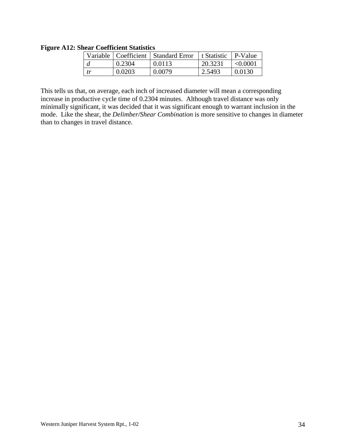<span id="page-33-0"></span>**Figure A12: Shear Coefficient Statistics** 

|       |        | Variable   Coefficient   Standard Error | t Statistic | l P-Value |
|-------|--------|-----------------------------------------|-------------|-----------|
|       | 0.2304 | 0.0113                                  | 20.3231     | < 0.0001  |
| $-tr$ | 0.0203 | 0.0079                                  | 2.5493      | 0.0130    |

This tells us that, on average, each inch of increased diameter will mean a corresponding increase in productive cycle time of 0.2304 minutes. Although travel distance was only minimally significant, it was decided that it was significant enough to warrant inclusion in the mode. Like the shear, the *Delimber/Shear Combination* is more sensitive to changes in diameter than to changes in travel distance.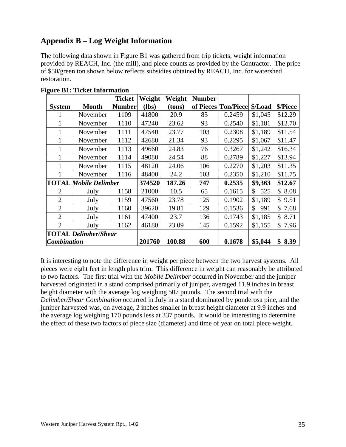# <span id="page-34-0"></span>**Appendix B – Log Weight Information**

The following data shown in Figure B1 was gathered from trip tickets, weight information provided by REACH, Inc. (the mill), and piece counts as provided by the Contractor. The price of \$50/green ton shown below reflects subsidies obtained by REACH, Inc. for watershed restoration.

|                             |                              | <b>Ticket</b> | Weight  | Weight | <b>Number</b> |                     |           |            |
|-----------------------------|------------------------------|---------------|---------|--------|---------------|---------------------|-----------|------------|
| <b>System</b>               | <b>Month</b>                 | <b>Number</b> | $(lbs)$ | (tons) |               | of Pieces Ton/Piece | \$/Load   | \$/Piece   |
|                             | November                     | 1109          | 41800   | 20.9   | 85            | 0.2459              | \$1,045   | \$12.29    |
|                             | November                     | 1110          | 47240   | 23.62  | 93            | 0.2540              | \$1,181   | \$12.70    |
|                             | November                     | 1111          | 47540   | 23.77  | 103           | 0.2308              | \$1,189   | \$11.54    |
|                             | November                     | 1112          | 42680   | 21.34  | 93            | 0.2295              | \$1,067   | \$11.47    |
|                             | November                     | 1113          | 49660   | 24.83  | 76            | 0.3267              | \$1,242   | \$16.34    |
|                             | November                     | 1114          | 49080   | 24.54  | 88            | 0.2789              | \$1,227   | \$13.94    |
|                             | November                     | 1115          | 48120   | 24.06  | 106           | 0.2270              | \$1,203   | \$11.35    |
|                             | November                     | 1116          | 48400   | 24.2   | 103           | 0.2350              | \$1,210   | \$11.75    |
|                             | <b>TOTAL Mobile Delimber</b> |               | 374520  | 187.26 | 747           | 0.2535              | \$9,363   | \$12.67    |
| 2                           | July                         | 1158          | 21000   | 10.5   | 65            | 0.1615              | \$<br>525 | 8.08<br>\$ |
| $\overline{2}$              | July                         | 1159          | 47560   | 23.78  | 125           | 0.1902              | \$1,189   | \$<br>9.51 |
| $\overline{2}$              | July                         | 1160          | 39620   | 19.81  | 129           | 0.1536              | \$<br>991 | \$<br>7.68 |
| $\overline{2}$              | July                         | 1161          | 47400   | 23.7   | 136           | 0.1743              | \$1,185   | \$<br>8.71 |
| $\overline{2}$              | July                         | 1162          | 46180   | 23.09  | 145           | 0.1592              | \$1,155   | \$<br>7.96 |
| <b>TOTAL Delimber/Shear</b> |                              |               |         |        |               |                     |           |            |
| <b>Combination</b>          |                              |               | 201760  | 100.88 | 600           | 0.1678              | \$5,044   | 8.39       |

**Figure B1: Ticket Information** 

It is interesting to note the difference in weight per piece between the two harvest systems. All pieces were eight feet in length plus trim. This difference in weight can reasonably be attributed to two factors. The first trial with the *Mobile Delimber* occurred in November and the juniper harvested originated in a stand comprised primarily of juniper, averaged 11.9 inches in breast height diameter with the average log weighing 507 pounds. The second trial with the *Delimber/Shear Combination* occurred in July in a stand dominated by ponderosa pine, and the juniper harvested was, on average, 2 inches smaller in breast height diameter at 9.9 inches and the average log weighing 170 pounds less at 337 pounds. It would be interesting to determine the effect of these two factors of piece size (diameter) and time of year on total piece weight.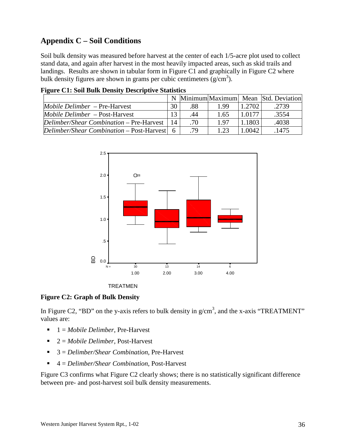# <span id="page-35-0"></span>**Appendix C – Soil Conditions**

**Figure C1: Soil Bulk Density Descriptive Statistics** 

Soil bulk density was measured before harvest at the center of each 1/5-acre plot used to collect stand data, and again after harvest in the most heavily impacted areas, such as skid trails and landings. Results are shown in tabular form in Figure C1 and graphically in Figure C2 where bulk density figures are shown in grams per cubic centimeters  $(g/cm<sup>3</sup>)$ .

| 1 ILUI U UIT DUIL DUILLE DUIDIUT DUDUI IPUI TU DUIUDUUDU |    |     |      |        |                                     |  |  |  |  |
|----------------------------------------------------------|----|-----|------|--------|-------------------------------------|--|--|--|--|
|                                                          | N  |     |      |        | Minimum Maximum Mean Std. Deviation |  |  |  |  |
| <i>Mobile Delimber</i> – Pre-Harvest                     | 30 | .88 | 199  | 1.2702 | .2739                               |  |  |  |  |
| <i>Mobile Delimber</i> – Post-Harvest                    | 13 | .44 | 1.65 | 1.0177 | .3554                               |  |  |  |  |
| Delimber/Shear Combination – Pre-Harvest                 | 14 | .70 | 197  | 1.1803 | .4038                               |  |  |  |  |
| Delimber/Shear Combination – Post-Harvest $\vert$ 6      |    | .79 | 1.23 | 1.0042 | .1475                               |  |  |  |  |





#### **Figure C2: Graph of Bulk Density**

In Figure C2, "BD" on the y-axis refers to bulk density in  $g/cm<sup>3</sup>$ , and the x-axis "TREATMENT" values are:

- ! 1 = *Mobile Delimber*, Pre-Harvest
- ! 2 = *Mobile Delimber*, Post-Harvest
- ! 3 = *Delimber/Shear Combination*, Pre-Harvest
- ! 4 = *Delimber/Shear Combination*, Post-Harvest

Figure C3 confirms what Figure C2 clearly shows; there is no statistically significant difference between pre- and post-harvest soil bulk density measurements.